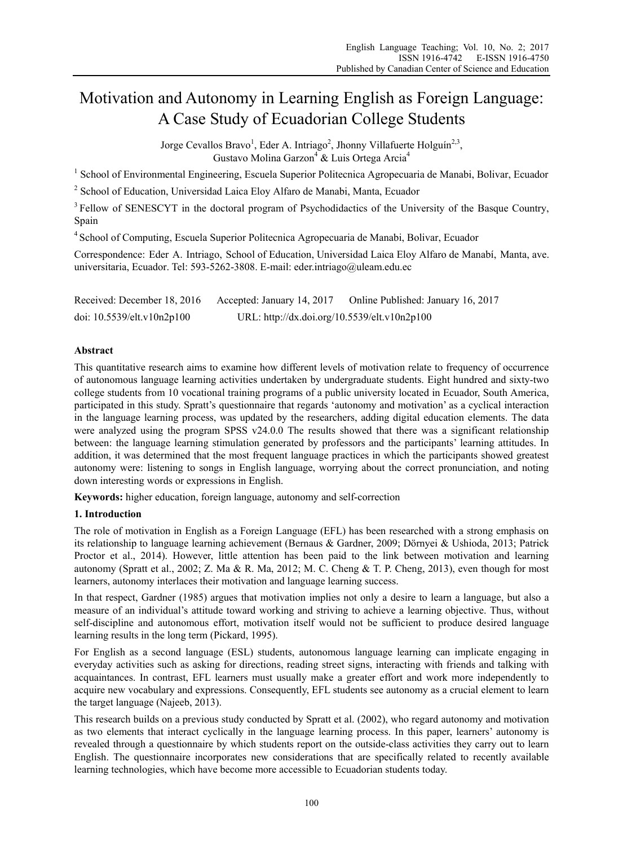# Motivation and Autonomy in Learning English as Foreign Language: A Case Study of Ecuadorian College Students

Jorge Cevallos Bravo<sup>1</sup>, Eder A. Intriago<sup>2</sup>, Jhonny Villafuerte Holguín<sup>2,3</sup>, Gustavo Molina Garzon<sup>4</sup> & Luis Ortega Arcia<sup>4</sup>

<sup>1</sup> School of Environmental Engineering, Escuela Superior Politecnica Agropecuaria de Manabi, Bolivar, Ecuador

<sup>2</sup> School of Education, Universidad Laica Eloy Alfaro de Manabi, Manta, Ecuador

<sup>3</sup> Fellow of SENESCYT in the doctoral program of Psychodidactics of the University of the Basque Country, Spain

4 School of Computing, Escuela Superior Politecnica Agropecuaria de Manabi, Bolivar, Ecuador

Correspondence: Eder A. Intriago, School of Education, Universidad Laica Eloy Alfaro de Manabí, Manta, ave. universitaria, Ecuador. Tel: 593-5262-3808. E-mail: eder.intriago@uleam.edu.ec

| Received: December 18, 2016      | Accepted: January 14, 2017                   | Online Published: January 16, 2017 |
|----------------------------------|----------------------------------------------|------------------------------------|
| doi: $10.5539$ /elt.v $10n2p100$ | URL: http://dx.doi.org/10.5539/elt.v10n2p100 |                                    |

# **Abstract**

This quantitative research aims to examine how different levels of motivation relate to frequency of occurrence of autonomous language learning activities undertaken by undergraduate students. Eight hundred and sixty-two college students from 10 vocational training programs of a public university located in Ecuador, South America, participated in this study. Spratt's questionnaire that regards 'autonomy and motivation' as a cyclical interaction in the language learning process, was updated by the researchers, adding digital education elements. The data were analyzed using the program SPSS v24.0.0 The results showed that there was a significant relationship between: the language learning stimulation generated by professors and the participants' learning attitudes. In addition, it was determined that the most frequent language practices in which the participants showed greatest autonomy were: listening to songs in English language, worrying about the correct pronunciation, and noting down interesting words or expressions in English.

**Keywords:** higher education, foreign language, autonomy and self-correction

# **1. Introduction**

The role of motivation in English as a Foreign Language (EFL) has been researched with a strong emphasis on its relationship to language learning achievement (Bernaus & Gardner, 2009; Dörnyei & Ushioda, 2013; Patrick Proctor et al., 2014). However, little attention has been paid to the link between motivation and learning autonomy (Spratt et al., 2002; Z. Ma & R. Ma, 2012; M. C. Cheng & T. P. Cheng, 2013), even though for most learners, autonomy interlaces their motivation and language learning success.

In that respect, Gardner (1985) argues that motivation implies not only a desire to learn a language, but also a measure of an individual's attitude toward working and striving to achieve a learning objective. Thus, without self-discipline and autonomous effort, motivation itself would not be sufficient to produce desired language learning results in the long term (Pickard, 1995).

For English as a second language (ESL) students, autonomous language learning can implicate engaging in everyday activities such as asking for directions, reading street signs, interacting with friends and talking with acquaintances. In contrast, EFL learners must usually make a greater effort and work more independently to acquire new vocabulary and expressions. Consequently, EFL students see autonomy as a crucial element to learn the target language (Najeeb, 2013).

This research builds on a previous study conducted by Spratt et al. (2002), who regard autonomy and motivation as two elements that interact cyclically in the language learning process. In this paper, learners' autonomy is revealed through a questionnaire by which students report on the outside-class activities they carry out to learn English. The questionnaire incorporates new considerations that are specifically related to recently available learning technologies, which have become more accessible to Ecuadorian students today.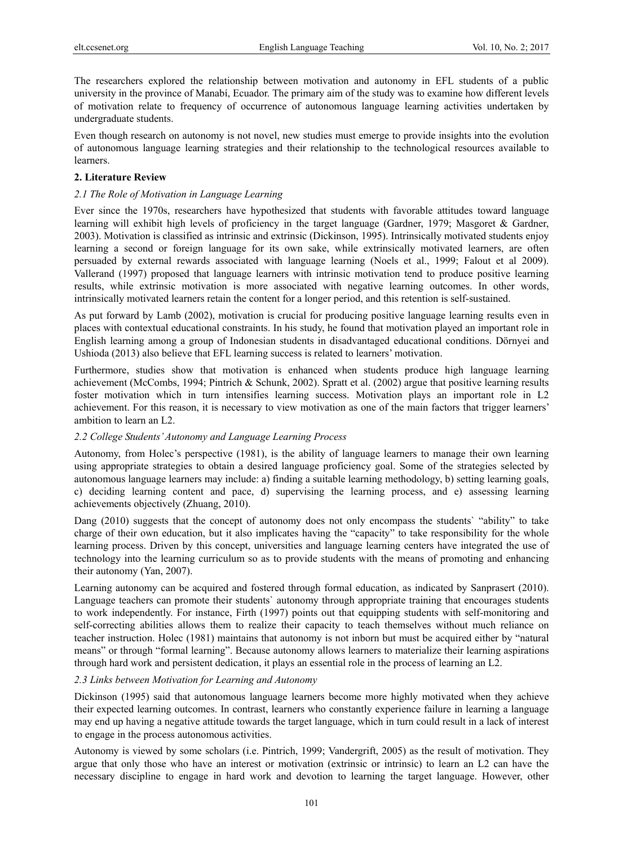The researchers explored the relationship between motivation and autonomy in EFL students of a public university in the province of Manabí, Ecuador. The primary aim of the study was to examine how different levels of motivation relate to frequency of occurrence of autonomous language learning activities undertaken by undergraduate students.

Even though research on autonomy is not novel, new studies must emerge to provide insights into the evolution of autonomous language learning strategies and their relationship to the technological resources available to learners.

## **2. Literature Review**

## *2.1 The Role of Motivation in Language Learning*

Ever since the 1970s, researchers have hypothesized that students with favorable attitudes toward language learning will exhibit high levels of proficiency in the target language (Gardner, 1979; Masgoret & Gardner, 2003). Motivation is classified as intrinsic and extrinsic (Dickinson, 1995). Intrinsically motivated students enjoy learning a second or foreign language for its own sake, while extrinsically motivated learners, are often persuaded by external rewards associated with language learning (Noels et al., 1999; Falout et al 2009). Vallerand (1997) proposed that language learners with intrinsic motivation tend to produce positive learning results, while extrinsic motivation is more associated with negative learning outcomes. In other words, intrinsically motivated learners retain the content for a longer period, and this retention is self-sustained.

As put forward by Lamb (2002), motivation is crucial for producing positive language learning results even in places with contextual educational constraints. In his study, he found that motivation played an important role in English learning among a group of Indonesian students in disadvantaged educational conditions. Dörnyei and Ushioda (2013) also believe that EFL learning success is related to learners' motivation.

Furthermore, studies show that motivation is enhanced when students produce high language learning achievement (McCombs, 1994; Pintrich & Schunk, 2002). Spratt et al. (2002) argue that positive learning results foster motivation which in turn intensifies learning success. Motivation plays an important role in L2 achievement. For this reason, it is necessary to view motivation as one of the main factors that trigger learners' ambition to learn an L2.

# *2.2 College Students' Autonomy and Language Learning Process*

Autonomy, from Holec's perspective (1981), is the ability of language learners to manage their own learning using appropriate strategies to obtain a desired language proficiency goal. Some of the strategies selected by autonomous language learners may include: a) finding a suitable learning methodology, b) setting learning goals, c) deciding learning content and pace, d) supervising the learning process, and e) assessing learning achievements objectively (Zhuang, 2010).

Dang (2010) suggests that the concept of autonomy does not only encompass the students' "ability" to take charge of their own education, but it also implicates having the "capacity" to take responsibility for the whole learning process. Driven by this concept, universities and language learning centers have integrated the use of technology into the learning curriculum so as to provide students with the means of promoting and enhancing their autonomy (Yan, 2007).

Learning autonomy can be acquired and fostered through formal education, as indicated by Sanprasert (2010). Language teachers can promote their students` autonomy through appropriate training that encourages students to work independently. For instance, Firth (1997) points out that equipping students with self-monitoring and self-correcting abilities allows them to realize their capacity to teach themselves without much reliance on teacher instruction. Holec (1981) maintains that autonomy is not inborn but must be acquired either by "natural means" or through "formal learning". Because autonomy allows learners to materialize their learning aspirations through hard work and persistent dedication, it plays an essential role in the process of learning an L2.

## *2.3 Links between Motivation for Learning and Autonomy*

Dickinson (1995) said that autonomous language learners become more highly motivated when they achieve their expected learning outcomes. In contrast, learners who constantly experience failure in learning a language may end up having a negative attitude towards the target language, which in turn could result in a lack of interest to engage in the process autonomous activities.

Autonomy is viewed by some scholars (i.e. Pintrich, 1999; Vandergrift, 2005) as the result of motivation. They argue that only those who have an interest or motivation (extrinsic or intrinsic) to learn an L2 can have the necessary discipline to engage in hard work and devotion to learning the target language. However, other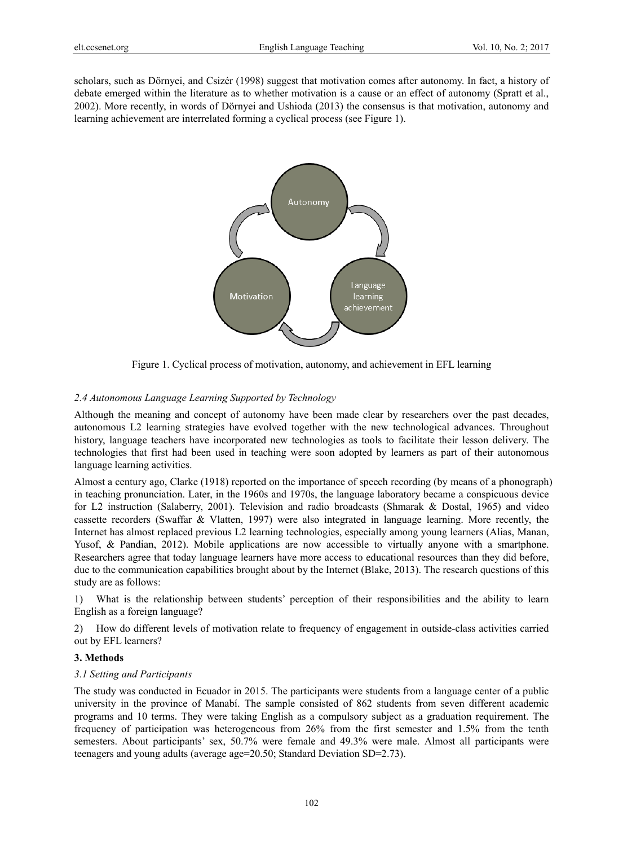scholars, such as Dörnyei, and Csizér (1998) suggest that motivation comes after autonomy. In fact, a history of debate emerged within the literature as to whether motivation is a cause or an effect of autonomy (Spratt et al., 2002). More recently, in words of Dörnyei and Ushioda (2013) the consensus is that motivation, autonomy and learning achievement are interrelated forming a cyclical process (see Figure 1).



Figure 1. Cyclical process of motivation, autonomy, and achievement in EFL learning

# *2.4 Autonomous Language Learning Supported by Technology*

Although the meaning and concept of autonomy have been made clear by researchers over the past decades, autonomous L2 learning strategies have evolved together with the new technological advances. Throughout history, language teachers have incorporated new technologies as tools to facilitate their lesson delivery. The technologies that first had been used in teaching were soon adopted by learners as part of their autonomous language learning activities.

Almost a century ago, Clarke (1918) reported on the importance of speech recording (by means of a phonograph) in teaching pronunciation. Later, in the 1960s and 1970s, the language laboratory became a conspicuous device for L2 instruction (Salaberry, 2001). Television and radio broadcasts (Shmarak & Dostal, 1965) and video cassette recorders (Swaffar & Vlatten, 1997) were also integrated in language learning. More recently, the Internet has almost replaced previous L2 learning technologies, especially among young learners (Alias, Manan, Yusof, & Pandian, 2012). Mobile applications are now accessible to virtually anyone with a smartphone. Researchers agree that today language learners have more access to educational resources than they did before, due to the communication capabilities brought about by the Internet (Blake, 2013). The research questions of this study are as follows:

1) What is the relationship between students' perception of their responsibilities and the ability to learn English as a foreign language?

2) How do different levels of motivation relate to frequency of engagement in outside-class activities carried out by EFL learners?

# **3. Methods**

# *3.1 Setting and Participants*

The study was conducted in Ecuador in 2015. The participants were students from a language center of a public university in the province of Manabí. The sample consisted of 862 students from seven different academic programs and 10 terms. They were taking English as a compulsory subject as a graduation requirement. The frequency of participation was heterogeneous from 26% from the first semester and 1.5% from the tenth semesters. About participants' sex, 50.7% were female and 49.3% were male. Almost all participants were teenagers and young adults (average age=20.50; Standard Deviation SD=2.73).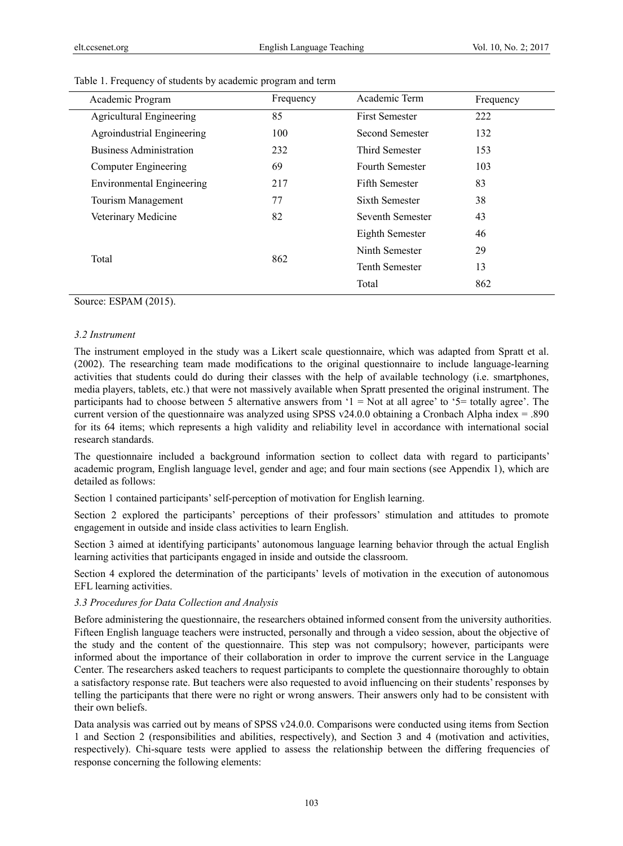| Academic Program                 | Frequency | Academic Term          | Frequency |
|----------------------------------|-----------|------------------------|-----------|
| <b>Agricultural Engineering</b>  | 85        | <b>First Semester</b>  | 222       |
| Agroindustrial Engineering       | 100       | Second Semester        | 132       |
| <b>Business Administration</b>   | 232       | <b>Third Semester</b>  | 153       |
| Computer Engineering             | 69        | <b>Fourth Semester</b> | 103       |
| <b>Environmental Engineering</b> | 217       | Fifth Semester         | 83        |
| Tourism Management               | 77        | Sixth Semester         | 38        |
| Veterinary Medicine              | 82        | Seventh Semester       | 43        |
|                                  |           | Eighth Semester        | 46        |
| Total                            | 862       | Ninth Semester         | 29        |
|                                  |           | <b>Tenth Semester</b>  | 13        |
|                                  |           | Total                  | 862       |

#### Table 1. Frequency of students by academic program and term

# Source: ESPAM (2015).

## *3.2 Instrument*

The instrument employed in the study was a Likert scale questionnaire, which was adapted from Spratt et al. (2002). The researching team made modifications to the original questionnaire to include language-learning activities that students could do during their classes with the help of available technology (i.e. smartphones, media players, tablets, etc.) that were not massively available when Spratt presented the original instrument. The participants had to choose between 5 alternative answers from  $1 = Not$  at all agree' to  $5 =$  totally agree'. The current version of the questionnaire was analyzed using SPSS  $v24.0.0$  obtaining a Cronbach Alpha index = .890 for its 64 items; which represents a high validity and reliability level in accordance with international social research standards.

The questionnaire included a background information section to collect data with regard to participants' academic program, English language level, gender and age; and four main sections (see Appendix 1), which are detailed as follows:

Section 1 contained participants' self-perception of motivation for English learning.

Section 2 explored the participants' perceptions of their professors' stimulation and attitudes to promote engagement in outside and inside class activities to learn English.

Section 3 aimed at identifying participants' autonomous language learning behavior through the actual English learning activities that participants engaged in inside and outside the classroom.

Section 4 explored the determination of the participants' levels of motivation in the execution of autonomous EFL learning activities.

## *3.3 Procedures for Data Collection and Analysis*

Before administering the questionnaire, the researchers obtained informed consent from the university authorities. Fifteen English language teachers were instructed, personally and through a video session, about the objective of the study and the content of the questionnaire. This step was not compulsory; however, participants were informed about the importance of their collaboration in order to improve the current service in the Language Center. The researchers asked teachers to request participants to complete the questionnaire thoroughly to obtain a satisfactory response rate. But teachers were also requested to avoid influencing on their students' responses by telling the participants that there were no right or wrong answers. Their answers only had to be consistent with their own beliefs.

Data analysis was carried out by means of SPSS v24.0.0. Comparisons were conducted using items from Section 1 and Section 2 (responsibilities and abilities, respectively), and Section 3 and 4 (motivation and activities, respectively). Chi-square tests were applied to assess the relationship between the differing frequencies of response concerning the following elements: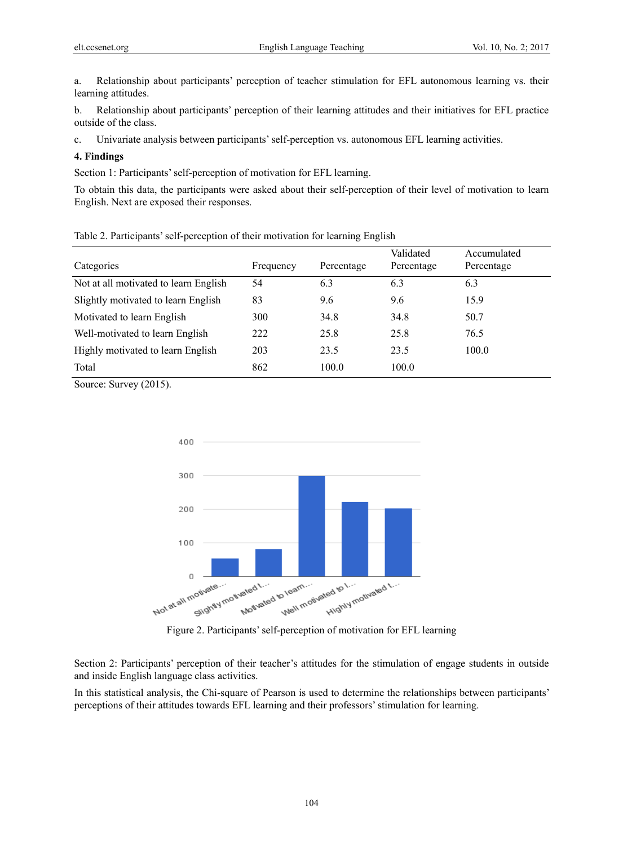a. Relationship about participants' perception of teacher stimulation for EFL autonomous learning vs. their learning attitudes.

b. Relationship about participants' perception of their learning attitudes and their initiatives for EFL practice outside of the class.

c. Univariate analysis between participants' self-perception vs. autonomous EFL learning activities.

# **4. Findings**

Section 1: Participants' self-perception of motivation for EFL learning.

To obtain this data, the participants were asked about their self-perception of their level of motivation to learn English. Next are exposed their responses.

| Categories                            | Frequency | Percentage | Validated<br>Percentage | Accumulated<br>Percentage |
|---------------------------------------|-----------|------------|-------------------------|---------------------------|
| Not at all motivated to learn English | 54        | 6.3        | 6.3                     | 6.3                       |
| Slightly motivated to learn English   | 83        | 9.6        | 9.6                     | 15.9                      |
| Motivated to learn English            | 300       | 34.8       | 34.8                    | 50.7                      |
| Well-motivated to learn English       | 222       | 25.8       | 25.8                    | 76.5                      |
| Highly motivated to learn English     | 203       | 23.5       | 23.5                    | 100.0                     |
| Total                                 | 862       | 100.0      | 100.0                   |                           |
|                                       |           |            |                         |                           |

Table 2. Participants' self-perception of their motivation for learning English

Source: Survey (2015).



Figure 2. Participants' self-perception of motivation for EFL learning

Section 2: Participants' perception of their teacher's attitudes for the stimulation of engage students in outside and inside English language class activities.

In this statistical analysis, the Chi-square of Pearson is used to determine the relationships between participants' perceptions of their attitudes towards EFL learning and their professors' stimulation for learning.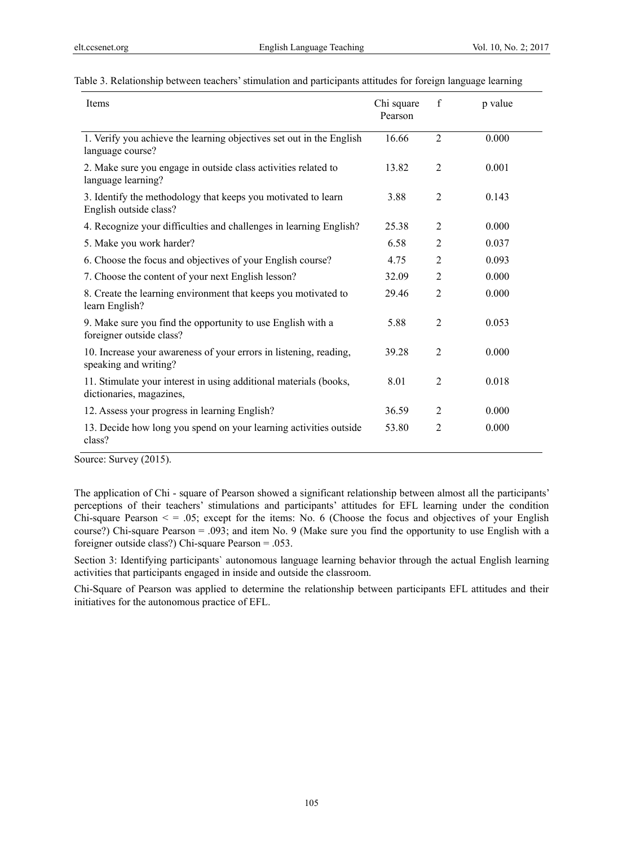| Table 3. Relationship between teachers' stimulation and participants attitudes for foreign language learning |  |  |  |  |
|--------------------------------------------------------------------------------------------------------------|--|--|--|--|

| Items                                                                                         | Chi square<br>Pearson | $\mathbf f$    | p value |
|-----------------------------------------------------------------------------------------------|-----------------------|----------------|---------|
| 1. Verify you achieve the learning objectives set out in the English<br>language course?      | 16.66                 | $\overline{2}$ | 0.000   |
| 2. Make sure you engage in outside class activities related to<br>language learning?          | 13.82                 | 2              | 0.001   |
| 3. Identify the methodology that keeps you motivated to learn<br>English outside class?       | 3.88                  | $\overline{2}$ | 0.143   |
| 4. Recognize your difficulties and challenges in learning English?                            | 25.38                 | $\overline{2}$ | 0.000   |
| 5. Make you work harder?                                                                      | 6.58                  | 2              | 0.037   |
| 6. Choose the focus and objectives of your English course?                                    | 4.75                  | $\overline{2}$ | 0.093   |
| 7. Choose the content of your next English lesson?                                            | 32.09                 | 2              | 0.000   |
| 8. Create the learning environment that keeps you motivated to<br>learn English?              | 29.46                 | 2              | 0.000   |
| 9. Make sure you find the opportunity to use English with a<br>foreigner outside class?       | 5.88                  | $\overline{2}$ | 0.053   |
| 10. Increase your awareness of your errors in listening, reading,<br>speaking and writing?    | 39.28                 | $\overline{2}$ | 0.000   |
| 11. Stimulate your interest in using additional materials (books,<br>dictionaries, magazines, | 8.01                  | 2              | 0.018   |
| 12. Assess your progress in learning English?                                                 | 36.59                 | 2              | 0.000   |
| 13. Decide how long you spend on your learning activities outside<br>class?                   | 53.80                 | $\overline{2}$ | 0.000   |

Source: Survey (2015).

The application of Chi - square of Pearson showed a significant relationship between almost all the participants' perceptions of their teachers' stimulations and participants' attitudes for EFL learning under the condition Chi-square Pearson  $\le$  = .05; except for the items: No. 6 (Choose the focus and objectives of your English course?) Chi-square Pearson = .093; and item No. 9 (Make sure you find the opportunity to use English with a foreigner outside class?) Chi-square Pearson = .053.

Section 3: Identifying participants` autonomous language learning behavior through the actual English learning activities that participants engaged in inside and outside the classroom.

Chi-Square of Pearson was applied to determine the relationship between participants EFL attitudes and their initiatives for the autonomous practice of EFL.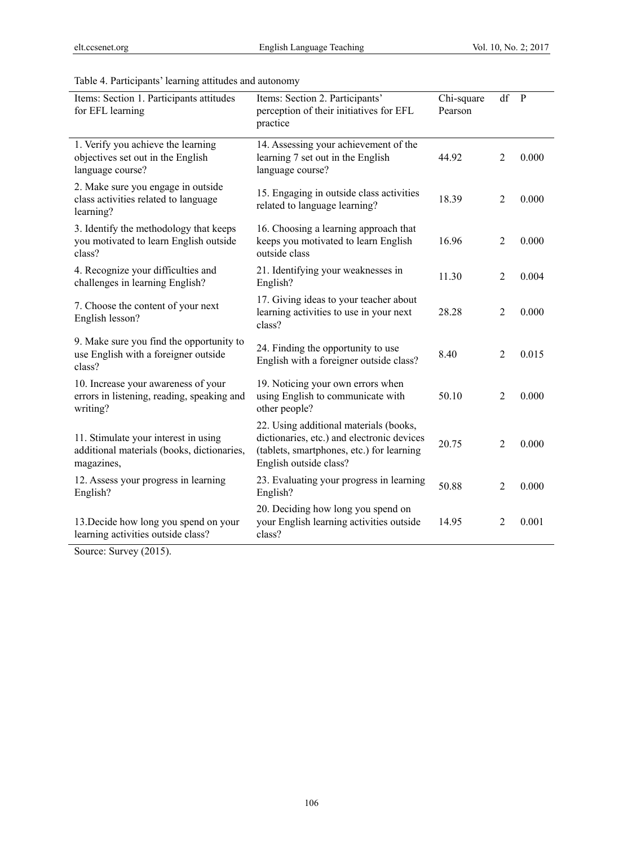| Items: Section 1. Participants attitudes<br>for EFL learning                                     | Items: Section 2. Participants'<br>perception of their initiatives for EFL<br>practice                                                                      | Chi-square<br>Pearson | df             | $\mathbf{P}$ |
|--------------------------------------------------------------------------------------------------|-------------------------------------------------------------------------------------------------------------------------------------------------------------|-----------------------|----------------|--------------|
| 1. Verify you achieve the learning<br>objectives set out in the English<br>language course?      | 14. Assessing your achievement of the<br>learning 7 set out in the English<br>language course?                                                              | 44.92                 | $\overline{2}$ | 0.000        |
| 2. Make sure you engage in outside<br>class activities related to language<br>learning?          | 15. Engaging in outside class activities<br>related to language learning?                                                                                   | 18.39                 | $\overline{2}$ | 0.000        |
| 3. Identify the methodology that keeps<br>you motivated to learn English outside<br>class?       | 16. Choosing a learning approach that<br>keeps you motivated to learn English<br>outside class                                                              | 16.96                 | $\overline{2}$ | 0.000        |
| 4. Recognize your difficulties and<br>challenges in learning English?                            | 21. Identifying your weaknesses in<br>English?                                                                                                              | 11.30                 | $\overline{2}$ | 0.004        |
| 7. Choose the content of your next<br>English lesson?                                            | 17. Giving ideas to your teacher about<br>learning activities to use in your next<br>class?                                                                 | 28.28                 | $\overline{2}$ | 0.000        |
| 9. Make sure you find the opportunity to<br>use English with a foreigner outside<br>class?       | 24. Finding the opportunity to use<br>English with a foreigner outside class?                                                                               | 8.40                  | 2              | 0.015        |
| 10. Increase your awareness of your<br>errors in listening, reading, speaking and<br>writing?    | 19. Noticing your own errors when<br>using English to communicate with<br>other people?                                                                     | 50.10                 | $\overline{2}$ | 0.000        |
| 11. Stimulate your interest in using<br>additional materials (books, dictionaries,<br>magazines, | 22. Using additional materials (books,<br>dictionaries, etc.) and electronic devices<br>(tablets, smartphones, etc.) for learning<br>English outside class? | 20.75                 | $\overline{2}$ | 0.000        |
| 12. Assess your progress in learning<br>English?                                                 | 23. Evaluating your progress in learning<br>English?                                                                                                        | 50.88                 | $\overline{2}$ | 0.000        |
| 13. Decide how long you spend on your<br>learning activities outside class?                      | 20. Deciding how long you spend on<br>your English learning activities outside<br>class?                                                                    | 14.95                 | 2              | 0.001        |

Table 4. Participants' learning attitudes and autonomy

Source: Survey (2015).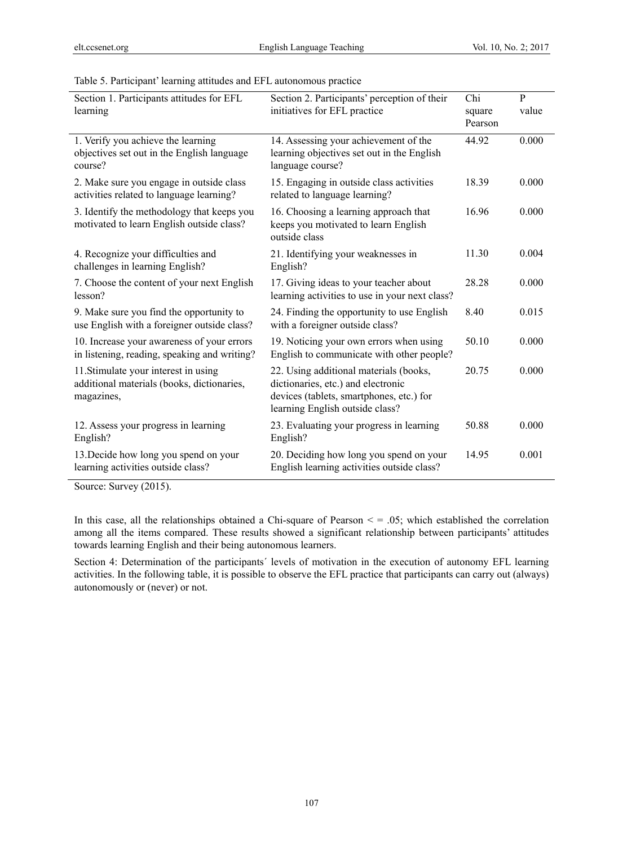| Section 1. Participants attitudes for EFL<br>learning                                            | Section 2. Participants' perception of their<br>initiatives for EFL practice                                                                                | Chi<br>square<br>Pearson | P<br>value |
|--------------------------------------------------------------------------------------------------|-------------------------------------------------------------------------------------------------------------------------------------------------------------|--------------------------|------------|
| 1. Verify you achieve the learning<br>objectives set out in the English language<br>course?      | 14. Assessing your achievement of the<br>learning objectives set out in the English<br>language course?                                                     | 44.92                    | 0.000      |
| 2. Make sure you engage in outside class<br>activities related to language learning?             | 15. Engaging in outside class activities<br>related to language learning?                                                                                   | 18.39                    | 0.000      |
| 3. Identify the methodology that keeps you<br>motivated to learn English outside class?          | 16. Choosing a learning approach that<br>keeps you motivated to learn English<br>outside class                                                              | 16.96                    | 0.000      |
| 4. Recognize your difficulties and<br>challenges in learning English?                            | 21. Identifying your weaknesses in<br>English?                                                                                                              | 11.30                    | 0.004      |
| 7. Choose the content of your next English<br>lesson?                                            | 17. Giving ideas to your teacher about<br>learning activities to use in your next class?                                                                    | 28.28                    | 0.000      |
| 9. Make sure you find the opportunity to<br>use English with a foreigner outside class?          | 24. Finding the opportunity to use English<br>with a foreigner outside class?                                                                               | 8.40                     | 0.015      |
| 10. Increase your awareness of your errors<br>in listening, reading, speaking and writing?       | 19. Noticing your own errors when using<br>English to communicate with other people?                                                                        | 50.10                    | 0.000      |
| 11. Stimulate your interest in using<br>additional materials (books, dictionaries,<br>magazines, | 22. Using additional materials (books,<br>dictionaries, etc.) and electronic<br>devices (tablets, smartphones, etc.) for<br>learning English outside class? | 20.75                    | 0.000      |
| 12. Assess your progress in learning<br>English?                                                 | 23. Evaluating your progress in learning<br>English?                                                                                                        | 50.88                    | 0.000      |
| 13. Decide how long you spend on your<br>learning activities outside class?                      | 20. Deciding how long you spend on your<br>English learning activities outside class?                                                                       | 14.95                    | 0.001      |

Table 5. Participant' learning attitudes and EFL autonomous practice

Source: Survey (2015).

In this case, all the relationships obtained a Chi-square of Pearson  $\le$  = .05; which established the correlation among all the items compared. These results showed a significant relationship between participants' attitudes towards learning English and their being autonomous learners.

Section 4: Determination of the participants´ levels of motivation in the execution of autonomy EFL learning activities. In the following table, it is possible to observe the EFL practice that participants can carry out (always) autonomously or (never) or not.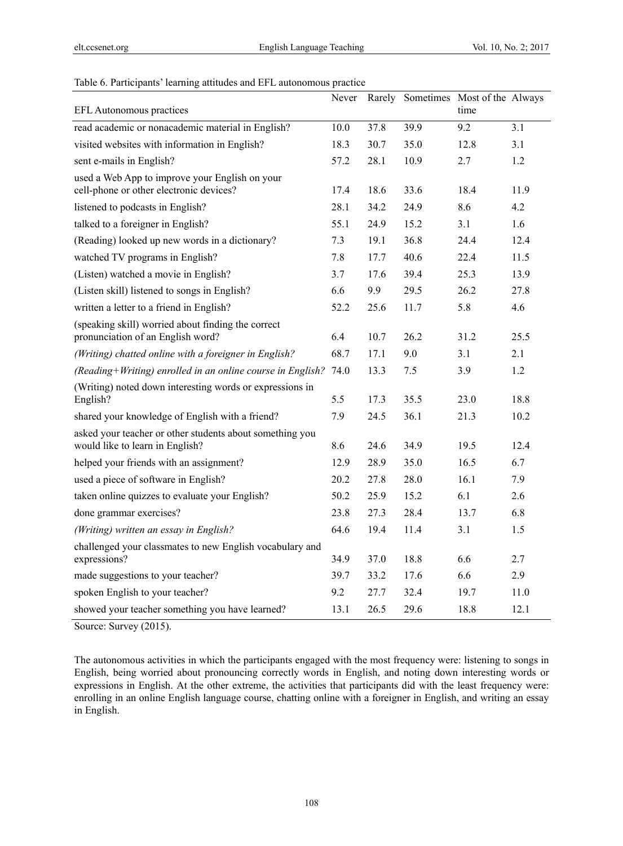# Table 6. Participants' learning attitudes and EFL autonomous practice

|                                                                                             | Never |      |      | Rarely Sometimes Most of the Always |      |
|---------------------------------------------------------------------------------------------|-------|------|------|-------------------------------------|------|
| EFL Autonomous practices                                                                    |       |      |      | time                                |      |
| read academic or nonacademic material in English?                                           | 10.0  | 37.8 | 39.9 | 9.2                                 | 3.1  |
| visited websites with information in English?                                               | 18.3  | 30.7 | 35.0 | 12.8                                | 3.1  |
| sent e-mails in English?                                                                    | 57.2  | 28.1 | 10.9 | 2.7                                 | 1.2  |
| used a Web App to improve your English on your<br>cell-phone or other electronic devices?   | 17.4  | 18.6 | 33.6 | 18.4                                | 11.9 |
| listened to podcasts in English?                                                            | 28.1  | 34.2 | 24.9 | 8.6                                 | 4.2  |
| talked to a foreigner in English?                                                           | 55.1  | 24.9 | 15.2 | 3.1                                 | 1.6  |
| (Reading) looked up new words in a dictionary?                                              | 7.3   | 19.1 | 36.8 | 24.4                                | 12.4 |
| watched TV programs in English?                                                             | 7.8   | 17.7 | 40.6 | 22.4                                | 11.5 |
| (Listen) watched a movie in English?                                                        | 3.7   | 17.6 | 39.4 | 25.3                                | 13.9 |
| (Listen skill) listened to songs in English?                                                | 6.6   | 9.9  | 29.5 | 26.2                                | 27.8 |
| written a letter to a friend in English?                                                    | 52.2  | 25.6 | 11.7 | 5.8                                 | 4.6  |
| (speaking skill) worried about finding the correct<br>pronunciation of an English word?     | 6.4   | 10.7 | 26.2 | 31.2                                | 25.5 |
| (Writing) chatted online with a foreigner in English?                                       | 68.7  | 17.1 | 9.0  | 3.1                                 | 2.1  |
| (Reading+Writing) enrolled in an online course in English?                                  | 74.0  | 13.3 | 7.5  | 3.9                                 | 1.2  |
| (Writing) noted down interesting words or expressions in<br>English?                        | 5.5   | 17.3 | 35.5 | 23.0                                | 18.8 |
| shared your knowledge of English with a friend?                                             | 7.9   | 24.5 | 36.1 | 21.3                                | 10.2 |
| asked your teacher or other students about something you<br>would like to learn in English? | 8.6   | 24.6 | 34.9 | 19.5                                | 12.4 |
| helped your friends with an assignment?                                                     | 12.9  | 28.9 | 35.0 | 16.5                                | 6.7  |
| used a piece of software in English?                                                        | 20.2  | 27.8 | 28.0 | 16.1                                | 7.9  |
| taken online quizzes to evaluate your English?                                              | 50.2  | 25.9 | 15.2 | 6.1                                 | 2.6  |
| done grammar exercises?                                                                     | 23.8  | 27.3 | 28.4 | 13.7                                | 6.8  |
| (Writing) written an essay in English?                                                      | 64.6  | 19.4 | 11.4 | 3.1                                 | 1.5  |
| challenged your classmates to new English vocabulary and                                    |       |      |      |                                     |      |
| expressions?                                                                                | 34.9  | 37.0 | 18.8 | 6.6                                 | 2.7  |
| made suggestions to your teacher?                                                           | 39.7  | 33.2 | 17.6 | 6.6                                 | 2.9  |
| spoken English to your teacher?                                                             | 9.2   | 27.7 | 32.4 | 19.7                                | 11.0 |
| showed your teacher something you have learned?                                             | 13.1  | 26.5 | 29.6 | 18.8                                | 12.1 |

Source: Survey (2015).

The autonomous activities in which the participants engaged with the most frequency were: listening to songs in English, being worried about pronouncing correctly words in English, and noting down interesting words or expressions in English. At the other extreme, the activities that participants did with the least frequency were: enrolling in an online English language course, chatting online with a foreigner in English, and writing an essay in English.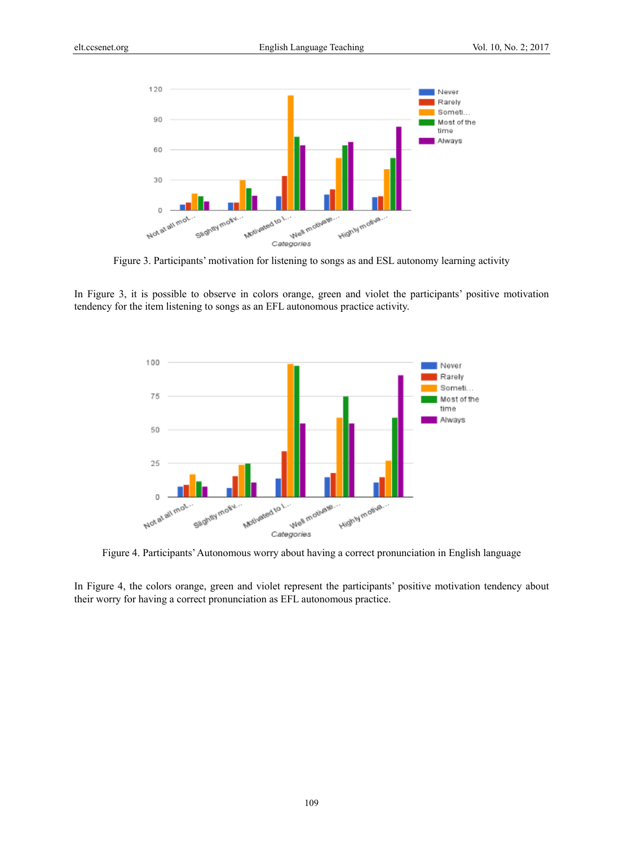

Figure 3. Participants' motivation for listening to songs as and ESL autonomy learning activity

In Figure 3, it is possible to observe in colors orange, green and violet the participants' positive motivation tendency for the item listening to songs as an EFL autonomous practice activity.



Figure 4. Participants' Autonomous worry about having a correct pronunciation in English language

In Figure 4, the colors orange, green and violet represent the participants' positive motivation tendency about their worry for having a correct pronunciation as EFL autonomous practice.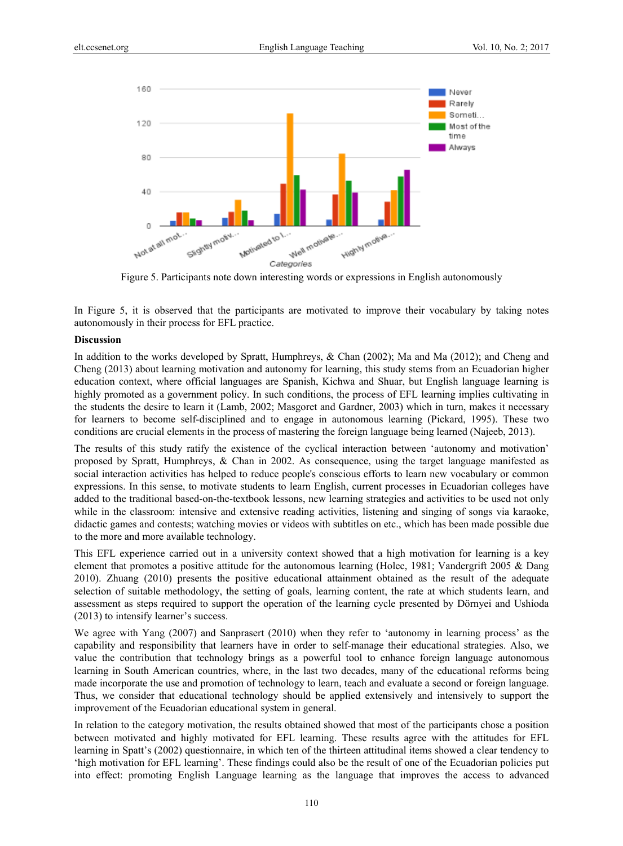

Figure 5. Participants note down interesting words or expressions in English autonomously

In Figure 5, it is observed that the participants are motivated to improve their vocabulary by taking notes autonomously in their process for EFL practice.

### **Discussion**

In addition to the works developed by Spratt, Humphreys, & Chan (2002); Ma and Ma (2012); and Cheng and Cheng (2013) about learning motivation and autonomy for learning, this study stems from an Ecuadorian higher education context, where official languages are Spanish, Kichwa and Shuar, but English language learning is highly promoted as a government policy. In such conditions, the process of EFL learning implies cultivating in the students the desire to learn it (Lamb, 2002; Masgoret and Gardner, 2003) which in turn, makes it necessary for learners to become self-disciplined and to engage in autonomous learning (Pickard, 1995). These two conditions are crucial elements in the process of mastering the foreign language being learned (Najeeb, 2013).

The results of this study ratify the existence of the cyclical interaction between 'autonomy and motivation' proposed by Spratt, Humphreys, & Chan in 2002. As consequence, using the target language manifested as social interaction activities has helped to reduce people's conscious efforts to learn new vocabulary or common expressions. In this sense, to motivate students to learn English, current processes in Ecuadorian colleges have added to the traditional based-on-the-textbook lessons, new learning strategies and activities to be used not only while in the classroom: intensive and extensive reading activities, listening and singing of songs via karaoke, didactic games and contests; watching movies or videos with subtitles on etc., which has been made possible due to the more and more available technology.

This EFL experience carried out in a university context showed that a high motivation for learning is a key element that promotes a positive attitude for the autonomous learning (Holec, 1981; Vandergrift 2005 & Dang 2010). Zhuang (2010) presents the positive educational attainment obtained as the result of the adequate selection of suitable methodology, the setting of goals, learning content, the rate at which students learn, and assessment as steps required to support the operation of the learning cycle presented by Dörnyei and Ushioda (2013) to intensify learner's success.

We agree with Yang (2007) and Sanprasert (2010) when they refer to 'autonomy in learning process' as the capability and responsibility that learners have in order to self-manage their educational strategies. Also, we value the contribution that technology brings as a powerful tool to enhance foreign language autonomous learning in South American countries, where, in the last two decades, many of the educational reforms being made incorporate the use and promotion of technology to learn, teach and evaluate a second or foreign language. Thus, we consider that educational technology should be applied extensively and intensively to support the improvement of the Ecuadorian educational system in general.

In relation to the category motivation, the results obtained showed that most of the participants chose a position between motivated and highly motivated for EFL learning. These results agree with the attitudes for EFL learning in Spatt's (2002) questionnaire, in which ten of the thirteen attitudinal items showed a clear tendency to 'high motivation for EFL learning'. These findings could also be the result of one of the Ecuadorian policies put into effect: promoting English Language learning as the language that improves the access to advanced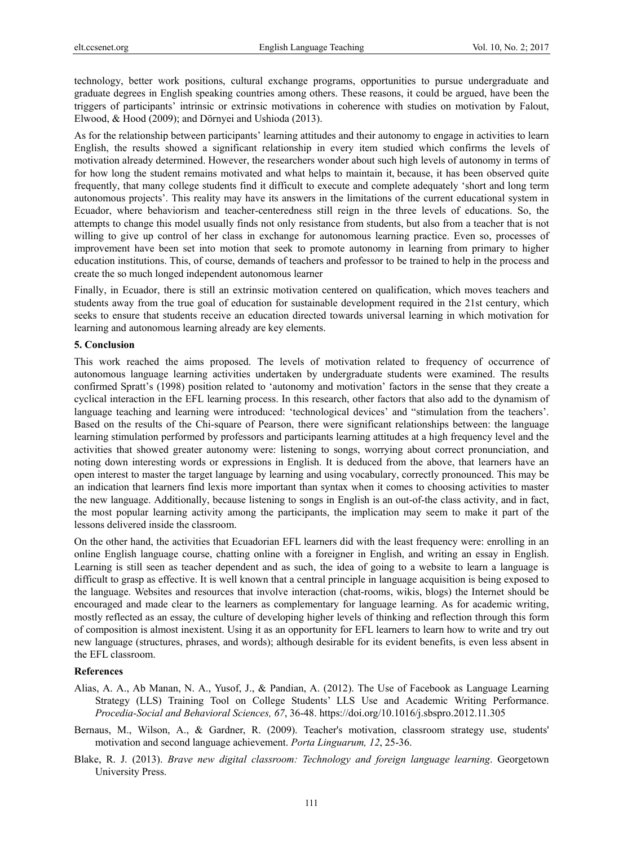technology, better work positions, cultural exchange programs, opportunities to pursue undergraduate and graduate degrees in English speaking countries among others. These reasons, it could be argued, have been the triggers of participants' intrinsic or extrinsic motivations in coherence with studies on motivation by Falout, Elwood, & Hood (2009); and Dörnyei and Ushioda (2013).

As for the relationship between participants' learning attitudes and their autonomy to engage in activities to learn English, the results showed a significant relationship in every item studied which confirms the levels of motivation already determined. However, the researchers wonder about such high levels of autonomy in terms of for how long the student remains motivated and what helps to maintain it, because, it has been observed quite frequently, that many college students find it difficult to execute and complete adequately 'short and long term autonomous projects'. This reality may have its answers in the limitations of the current educational system in Ecuador, where behaviorism and teacher-centeredness still reign in the three levels of educations. So, the attempts to change this model usually finds not only resistance from students, but also from a teacher that is not willing to give up control of her class in exchange for autonomous learning practice. Even so, processes of improvement have been set into motion that seek to promote autonomy in learning from primary to higher education institutions. This, of course, demands of teachers and professor to be trained to help in the process and create the so much longed independent autonomous learner

Finally, in Ecuador, there is still an extrinsic motivation centered on qualification, which moves teachers and students away from the true goal of education for sustainable development required in the 21st century, which seeks to ensure that students receive an education directed towards universal learning in which motivation for learning and autonomous learning already are key elements.

## **5. Conclusion**

This work reached the aims proposed. The levels of motivation related to frequency of occurrence of autonomous language learning activities undertaken by undergraduate students were examined. The results confirmed Spratt's (1998) position related to 'autonomy and motivation' factors in the sense that they create a cyclical interaction in the EFL learning process. In this research, other factors that also add to the dynamism of language teaching and learning were introduced: 'technological devices' and "stimulation from the teachers'. Based on the results of the Chi-square of Pearson, there were significant relationships between: the language learning stimulation performed by professors and participants learning attitudes at a high frequency level and the activities that showed greater autonomy were: listening to songs, worrying about correct pronunciation, and noting down interesting words or expressions in English. It is deduced from the above, that learners have an open interest to master the target language by learning and using vocabulary, correctly pronounced. This may be an indication that learners find lexis more important than syntax when it comes to choosing activities to master the new language. Additionally, because listening to songs in English is an out-of-the class activity, and in fact, the most popular learning activity among the participants, the implication may seem to make it part of the lessons delivered inside the classroom.

On the other hand, the activities that Ecuadorian EFL learners did with the least frequency were: enrolling in an online English language course, chatting online with a foreigner in English, and writing an essay in English. Learning is still seen as teacher dependent and as such, the idea of going to a website to learn a language is difficult to grasp as effective. It is well known that a central principle in language acquisition is being exposed to the language. Websites and resources that involve interaction (chat-rooms, wikis, blogs) the Internet should be encouraged and made clear to the learners as complementary for language learning. As for academic writing, mostly reflected as an essay, the culture of developing higher levels of thinking and reflection through this form of composition is almost inexistent. Using it as an opportunity for EFL learners to learn how to write and try out new language (structures, phrases, and words); although desirable for its evident benefits, is even less absent in the EFL classroom.

# **References**

- Alias, A. A., Ab Manan, N. A., Yusof, J., & Pandian, A. (2012). The Use of Facebook as Language Learning Strategy (LLS) Training Tool on College Students' LLS Use and Academic Writing Performance. *Procedia-Social and Behavioral Sciences, 67*, 36-48. https://doi.org/10.1016/j.sbspro.2012.11.305
- Bernaus, M., Wilson, A., & Gardner, R. (2009). Teacher's motivation, classroom strategy use, students' motivation and second language achievement. *Porta Linguarum, 12*, 25-36.
- Blake, R. J. (2013). *Brave new digital classroom: Technology and foreign language learning*. Georgetown University Press.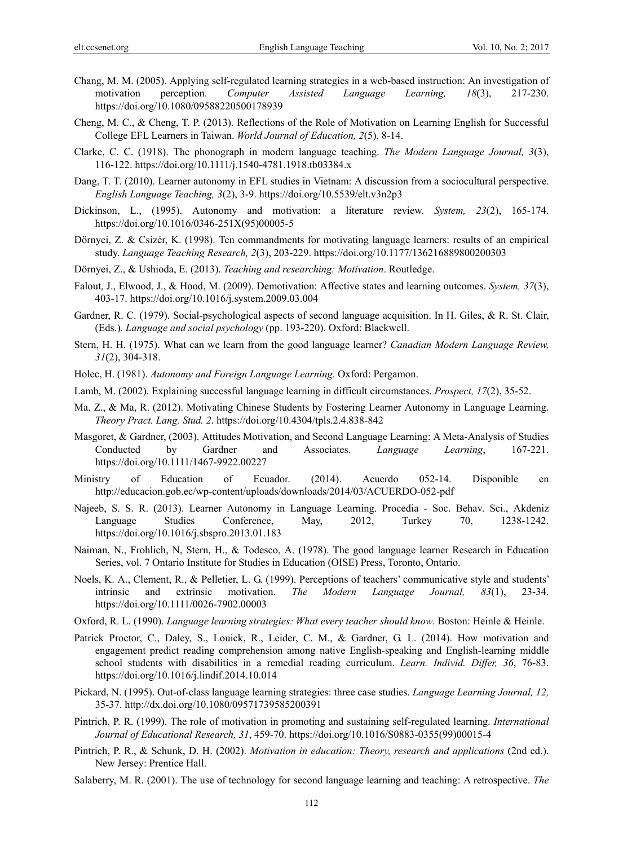- Chang, M. M. (2005). Applying self-regulated learning strategies in a web-based instruction: An investigation of motivation perception. *Computer Assisted Language Learning, 18*(3), 217-230. https://doi.org/10.1080/09588220500178939
- Cheng, M. C., & Cheng, T. P. (2013). Reflections of the Role of Motivation on Learning English for Successful College EFL Learners in Taiwan. *World Journal of Education, 2*(5), 8-14.
- Clarke, C. C. (1918). The phonograph in modern language teaching. *The Modern Language Journal, 3*(3), 116-122. https://doi.org/10.1111/j.1540-4781.1918.tb03384.x
- Dang, T. T. (2010). Learner autonomy in EFL studies in Vietnam: A discussion from a sociocultural perspective. *English Language Teaching, 3*(2), 3-9. https://doi.org/10.5539/elt.v3n2p3
- Dickinson, L., (1995). Autonomy and motivation: a literature review. *System, 23*(2), 165-174. https://doi.org/10.1016/0346-251X(95)00005-5
- Dörnyei, Z. & Csizér, K. (1998). Ten commandments for motivating language learners: results of an empirical study. *Language Teaching Research, 2*(3), 203-229. https://doi.org/10.1177/136216889800200303
- Dörnyei, Z., & Ushioda, E. (2013). *Teaching and researching: Motivation*. Routledge.
- Falout, J., Elwood, J., & Hood, M. (2009). Demotivation: Affective states and learning outcomes. *System, 37*(3), 403-17. https://doi.org/10.1016/j.system.2009.03.004
- Gardner, R. C. (1979). Social-psychological aspects of second language acquisition. In H. Giles, & R. St. Clair, (Eds.). *Language and social psychology* (pp. 193-220). Oxford: Blackwell.
- Stern, H. H. (1975). What can we learn from the good language learner? *Canadian Modern Language Review, 31*(2), 304-318.
- Holec, H. (1981). *Autonomy and Foreign Language Learning*. Oxford: Pergamon.
- Lamb, M. (2002). Explaining successful language learning in difficult circumstances. *Prospect, 17*(2), 35-52.
- Ma, Z., & Ma, R. (2012). Motivating Chinese Students by Fostering Learner Autonomy in Language Learning. *Theory Pract. Lang. Stud. 2*. https://doi.org/10.4304/tpls.2.4.838-842
- Masgoret, & Gardner, (2003). Attitudes Motivation, and Second Language Learning: A Meta-Analysis of Studies Conducted by Gardner and Associates. *Language Learning*, 167-221. https://doi.org/10.1111/1467-9922.00227
- Ministry of Education of Ecuador. (2014). Acuerdo 052-14. Disponible en http://educacion.gob.ec/wp-content/uploads/downloads/2014/03/ACUERDO-052-pdf
- Najeeb, S. S. R. (2013). Learner Autonomy in Language Learning. Procedia Soc. Behav. Sci., Akdeniz Language Studies Conference, May, 2012, Turkey 70, 1238-1242. https://doi.org/10.1016/j.sbspro.2013.01.183
- Naiman, N., Frohlich, N, Stern, H., & Todesco, A. (1978). The good language learner Research in Education Series, vol. 7 Ontario Institute for Studies in Education (OISE) Press, Toronto, Ontario.
- Noels, K. A., Clement, R., & Pelletier, L. G. (1999). Perceptions of teachers' communicative style and students' intrinsic and extrinsic motivation. *The Modern Language Journal, 83*(1), 23-34. https://doi.org/10.1111/0026-7902.00003
- Oxford, R. L. (1990). *Language learning strategies: What every teacher should know*. Boston: Heinle & Heinle.
- Patrick Proctor, C., Daley, S., Louick, R., Leider, C. M., & Gardner, G. L. (2014). How motivation and engagement predict reading comprehension among native English-speaking and English-learning middle school students with disabilities in a remedial reading curriculum. *Learn. Individ. Differ, 36*, 76-83. https://doi.org/10.1016/j.lindif.2014.10.014
- Pickard, N. (1995). Out-of-class language learning strategies: three case studies. *Language Learning Journal, 12,* 35-37. http://dx.doi.org/10.1080/09571739585200391
- Pintrich, P. R. (1999). The role of motivation in promoting and sustaining self-regulated learning. *International Journal of Educational Research, 31*, 459-70. https://doi.org/10.1016/S0883-0355(99)00015-4
- Pintrich, P. R., & Schunk, D. H. (2002). *Motivation in education: Theory, research and applications* (2nd ed.). New Jersey: Prentice Hall.
- Salaberry, M. R. (2001). The use of technology for second language learning and teaching: A retrospective. *The*